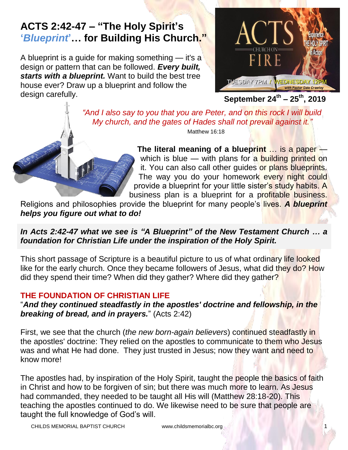# **ACTS 2:42-47 – "The Holy Spirit's '***Blueprint***'… for Building His Church."**

A blueprint is a guide for making something — it's a design or pattern that can be followed. *Every built, starts with a blueprint.* Want to build the best tree house ever? Draw up a blueprint and follow the design carefully.



**September 24th – 25th, 2019**

 *"And I also say to you that you are Peter, and on this rock I will build My church, and the gates of Hades shall not prevail against it."* Matthew 16:18

> **The literal meaning of a blueprint** … is a paper which is blue — with plans for a building printed on it. You can also call other guides or plans blueprints. The way you do your homework every night could provide a blueprint for your little sister's study habits. A business plan is a blueprint for a profitable business.

Religions and philosophies provide the blueprint for many people's lives. *A blueprint helps you figure out what to do!*

#### *In Acts 2:42-47 what we see is "A Blueprint" of the New Testament Church … a foundation for Christian Life under the inspiration of the Holy Spirit.*

This short passage of Scripture is a beautiful picture to us of what ordinary life looked like for the early church. Once they became followers of Jesus, what did they do? How did they spend their time? When did they gather? Where did they gather?

## **THE FOUNDATION OF CHRISTIAN LIFE**

"*And they continued steadfastly in the apostles' doctrine and fellowship, in the breaking of bread, and in prayers.*" (Acts [2:42\)](https://www.blueletterbible.org/kjv/acts/2/42/s_1020042)

First, we see that the church (*the new born-again believers*) continued steadfastly in the apostles' doctrine: They relied on the apostles to communicate to them who Jesus was and what He had done. They just trusted in Jesus; now they want and need to know more!

The apostles had, by inspiration of the Holy Spirit, taught the people the basics of faith in Christ and how to be forgiven of sin; but there was much more to learn. As Jesus had commanded, they needed to be taught all His will (Matthew 28:18-20). This teaching the apostles continued to do. We likewise need to be sure that people are taught the full knowledge of God's will.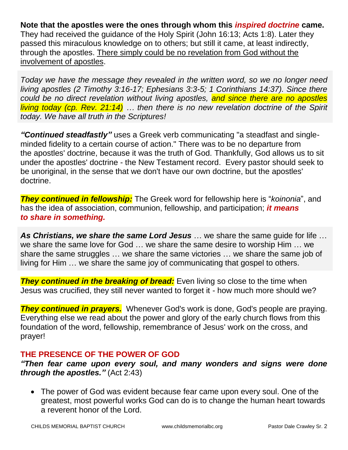**Note that the apostles were the ones through whom this** *inspired doctrine* **came.** They had received the guidance of the Holy Spirit (John 16:13; Acts 1:8). Later they passed this miraculous knowledge on to others; but still it came, at least indirectly, through the apostles. There simply could be no revelation from God without the involvement of apostles.

*Today we have the message they revealed in the written word, so we no longer need living apostles (2 Timothy 3:16-17; Ephesians 3:3-5; 1 Corinthians 14:37). Since there could be no direct revelation without living apostles, and since there are no apostles living today (cp. Rev. 21:14) … then there is no new revelation doctrine of the Spirit today. We have all truth in the Scriptures!*

*"Continued steadfastly"* uses a Greek verb communicating "a steadfast and singleminded fidelity to a certain course of action." There was to be no departure from the apostles' doctrine, because it was the truth of God. Thankfully, God allows us to sit under the apostles' doctrine - the New Testament record. Every pastor should seek to be unoriginal, in the sense that we don't have our own doctrine, but the apostles' doctrine.

*They continued in fellowship:* The Greek word for fellowship here is "*koinonia*", and has the idea of association, communion, fellowship, and participation; *it means to share in something.*

*As Christians, we share the same Lord Jesus* … we share the same guide for life … we share the same love for God … we share the same desire to worship Him … we share the same struggles … we share the same victories … we share the same job of living for Him … we share the same joy of communicating that gospel to others.

*They continued in the breaking of bread:* Even living so close to the time when Jesus was crucified, they still never wanted to forget it - how much more should we?

*They continued in prayers.* Whenever God's work is done, God's people are praying. Everything else we read about the power and glory of the early church flows from this foundation of the word, fellowship, remembrance of Jesus' work on the cross, and prayer!

## **THE PRESENCE OF THE POWER OF GOD**

*"Then fear came upon every soul, and many wonders and signs were done through the apostles."* [\(Act 2:43\)](https://www.blueletterbible.org/kjv/acts/2/43/s_1020043)

 The power of God was evident because fear came upon every soul. One of the greatest, most powerful works God can do is to change the human heart towards a reverent honor of the Lord.